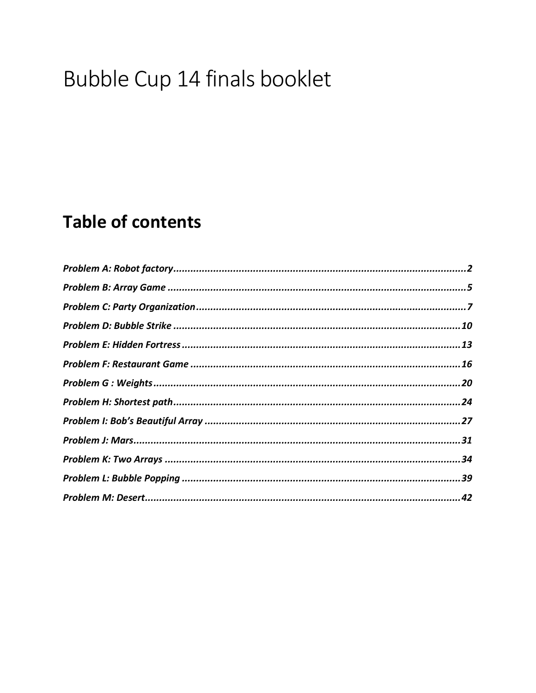# Bubble Cup 14 finals booklet

## **Table of contents**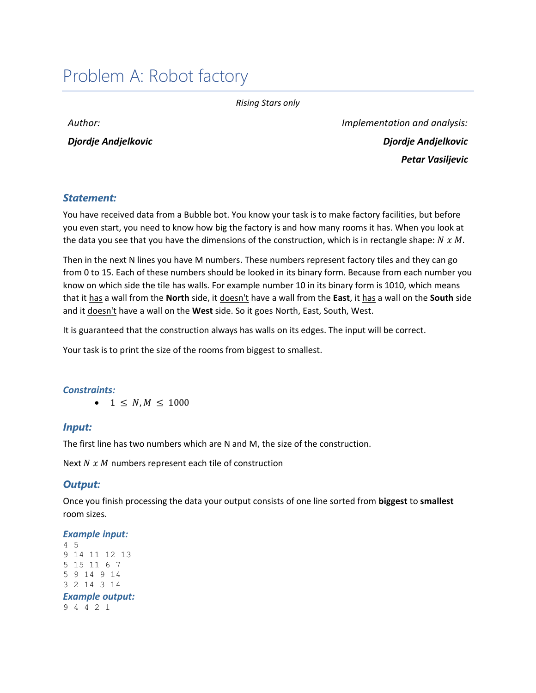## <span id="page-1-0"></span>Problem A: Robot factory

*Rising Stars only*

*Author:* 

*Djordje Andjelkovic*

*Implementation and analysis: Djordje Andjelkovic Petar Vasiljevic*

#### *Statement:*

You have received data from a Bubble bot. You know your task is to make factory facilities, but before you even start, you need to know how big the factory is and how many rooms it has. When you look at the data you see that you have the dimensions of the construction, which is in rectangle shape:  $N x M$ .

Then in the next N lines you have M numbers. These numbers represent factory tiles and they can go from 0 to 15. Each of these numbers should be looked in its binary form. Because from each number you know on which side the tile has walls. For example number 10 in its binary form is 1010, which means that it has a wall from the **North** side, it doesn't have a wall from the **East**, it has a wall on the **South** side and it doesn't have a wall on the **West** side. So it goes North, East, South, West.

It is guaranteed that the construction always has walls on its edges. The input will be correct.

Your task is to print the size of the rooms from biggest to smallest.

#### *Constraints:*

•  $1 \le N, M \le 1000$ 

#### *Input:*

The first line has two numbers which are N and M, the size of the construction.

Next  $N x M$  numbers represent each tile of construction

#### *Output:*

Once you finish processing the data your output consists of one line sorted from **biggest** to **smallest**  room sizes.

#### *Example input:*

```
4 5
9 14 11 12 13
5 15 11 6 7
5 9 14 9 14
3 2 14 3 14
Example output:
9 4 4 2 1
```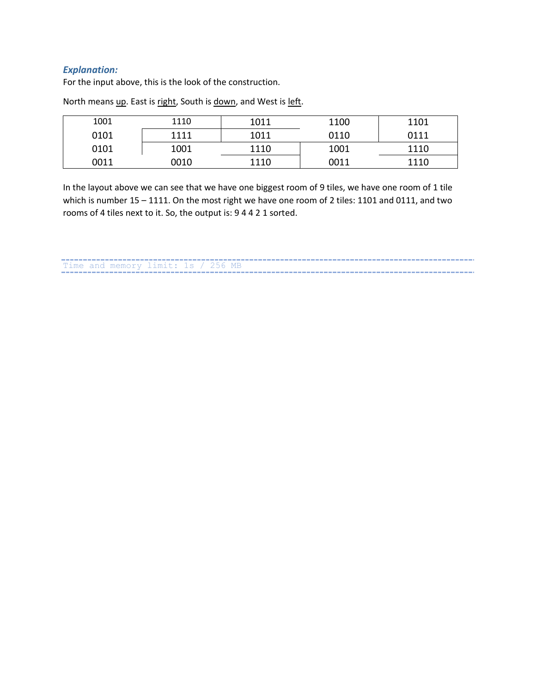#### *Explanation:*

For the input above, this is the look of the construction.

| 1001 | 1110 | 1011 | 1100 | 1101 |
|------|------|------|------|------|
| 0101 | 1111 | 1011 | 0110 | 0111 |
| 0101 | 1001 | 1110 | 1001 | 1110 |
| 0011 | 0010 | 1110 | 0011 | 1110 |

North means up. East is right, South is down, and West is left.

In the layout above we can see that we have one biggest room of 9 tiles, we have one room of 1 tile which is number 15 – 1111. On the most right we have one room of 2 tiles: 1101 and 0111, and two rooms of 4 tiles next to it. So, the output is: 9 4 4 2 1 sorted.

The and memory limit: 1s / 256 MB<br>Time and memory limit: 1s / 256 MB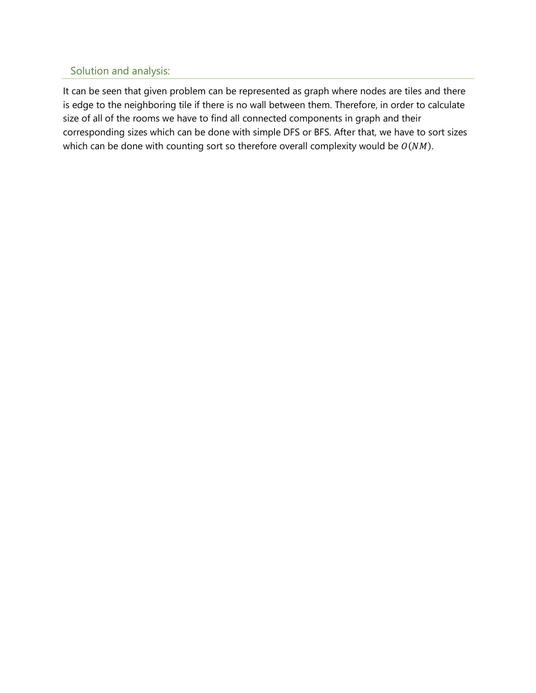## Solution and analysis:

It can be seen that given problem can be represented as graph where nodes are tiles and there is edge to the neighboring tile if there is no wall between them. Therefore, in order to calculate size of all of the rooms we have to find all connected components in graph and their corresponding sizes which can be done with simple DFS or BFS. After that, we have to sort sizes which can be done with counting sort so therefore overall complexity would be  $O(NM)$ .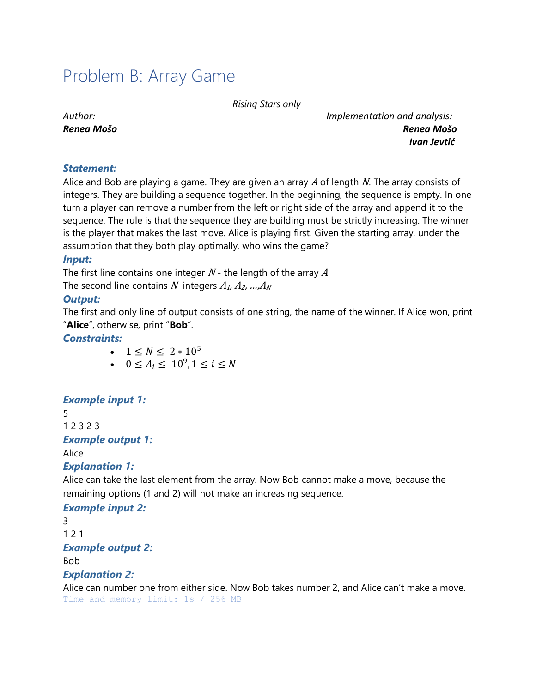## <span id="page-4-0"></span>Problem B: Array Game

*Rising Stars only*

*Author: Renea Mošo* *Implementation and analysis: Renea Mošo Ivan Jevtić*

#### *Statement:*

Alice and Bob are playing a game. They are given an array  $\overline{A}$  of length N. The array consists of integers. They are building a sequence together. In the beginning, the sequence is empty. In one turn a player can remove a number from the left or right side of the array and append it to the sequence. The rule is that the sequence they are building must be strictly increasing. The winner is the player that makes the last move. Alice is playing first. Given the starting array, under the assumption that they both play optimally, who wins the game?

#### *Input:*

The first line contains one integer  $N$  - the length of the array  $A$ The second line contains N integers  $A_1, A_2, \ldots, A_N$ 

#### *Output:*

The first and only line of output consists of one string, the name of the winner. If Alice won, print "**Alice**", otherwise, print "**Bob**".

#### *Constraints:*

- $1 \le N \le 2 * 10^5$
- $0 \le A_i \le 10^9, 1 \le i \le N$

## *Example input 1:*

5 1 2 3 2 3 *Example output 1:* Alice

## *Explanation 1:*

Alice can take the last element from the array. Now Bob cannot make a move, because the remaining options (1 and 2) will not make an increasing sequence.

## *Example input 2:*

3 1 2 1 *Example output 2:* Bob *Explanation 2:* Alice can number one from either side. Now Bob takes number 2, and Alice can't make a move. Time and memory limit: 1s / 256 MB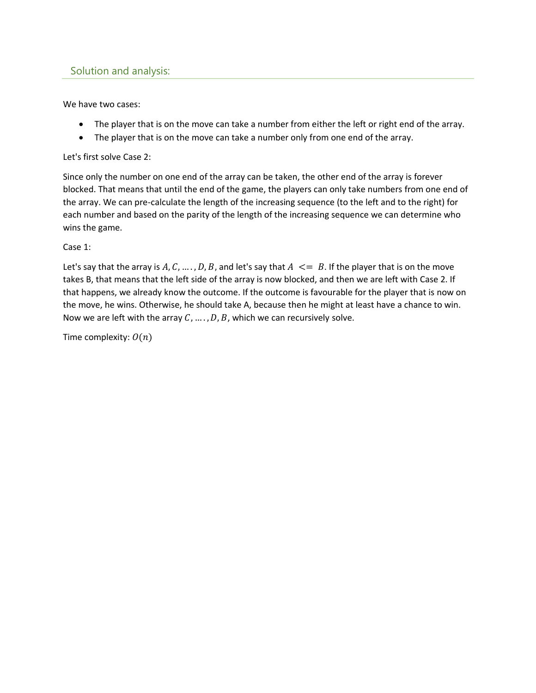#### Solution and analysis:

We have two cases:

- The player that is on the move can take a number from either the left or right end of the array.
- The player that is on the move can take a number only from one end of the array.

Let's first solve Case 2:

Since only the number on one end of the array can be taken, the other end of the array is forever blocked. That means that until the end of the game, the players can only take numbers from one end of the array. We can pre-calculate the length of the increasing sequence (to the left and to the right) for each number and based on the parity of the length of the increasing sequence we can determine who wins the game.

#### Case 1:

Let's say that the array is A, C, ..., D, B, and let's say that  $A \leq B$ . If the player that is on the move takes B, that means that the left side of the array is now blocked, and then we are left with Case 2. If that happens, we already know the outcome. If the outcome is favourable for the player that is now on the move, he wins. Otherwise, he should take A, because then he might at least have a chance to win. Now we are left with the array  $C, \ldots, D, B$ , which we can recursively solve.

Time complexity:  $O(n)$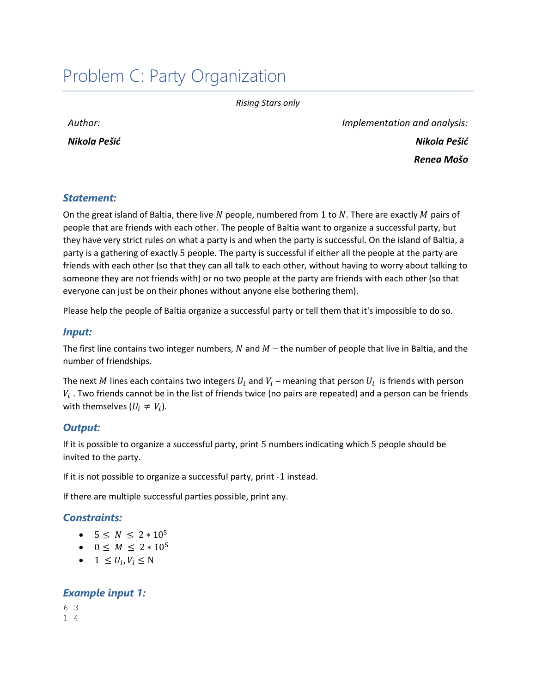## <span id="page-6-0"></span>Problem C: Party Organization

*Rising Stars only*

*Author:* 

*Nikola Pešić*

*Implementation and analysis: Nikola Pešić Renea Mošo*

### *Statement:*

On the great island of Baltia, there live N people, numbered from 1 to N. There are exactly M pairs of people that are friends with each other. The people of Baltia want to organize a successful party, but they have very strict rules on what a party is and when the party is successful. On the island of Baltia, a party is a gathering of exactly 5 people. The party is successful if either all the people at the party are friends with each other (so that they can all talk to each other, without having to worry about talking to someone they are not friends with) or no two people at the party are friends with each other (so that everyone can just be on their phones without anyone else bothering them).

Please help the people of Baltia organize a successful party or tell them that it's impossible to do so.

#### *Input:*

The first line contains two integer numbers,  $N$  and  $M$  – the number of people that live in Baltia, and the number of friendships.

The next  $M$  lines each contains two integers  $U_i$  and  $V_i$  – meaning that person  $U_i$  is friends with person  $V_i$  . Two friends cannot be in the list of friends twice (no pairs are repeated) and a person can be friends with themselves  $(U_i \neq V_i)$ .

#### *Output:*

If it is possible to organize a successful party, print 5 numbers indicating which 5 people should be invited to the party.

If it is not possible to organize a successful party, print -1 instead.

If there are multiple successful parties possible, print any.

#### *Constraints:*

- $5 \le N \le 2 * 10^5$
- $0 \leq M \leq 2 * 10^5$
- $1 \leq U_i, V_i \leq N$

#### *Example input 1:*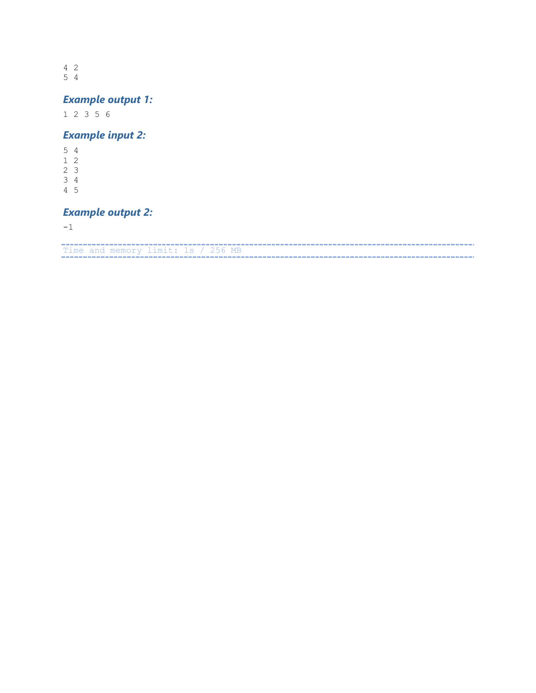4 2 5 4

## *Example output 1:*

1 2 3 5 6

#### *Example input 2:*

- 5 4
- 1 2
- 2 3
- 3 4 4 5
- 

### *Example output 2:*

-1

Time and memory limit: 1s / 256 MB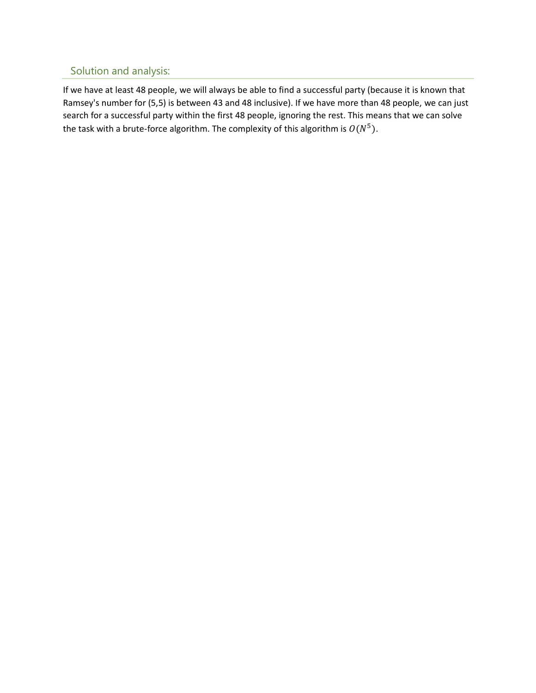## Solution and analysis:

If we have at least 48 people, we will always be able to find a successful party (because it is known that Ramsey's number for (5,5) is between 43 and 48 inclusive). If we have more than 48 people, we can just search for a successful party within the first 48 people, ignoring the rest. This means that we can solve the task with a brute-force algorithm. The complexity of this algorithm is  $O(N^5)$ .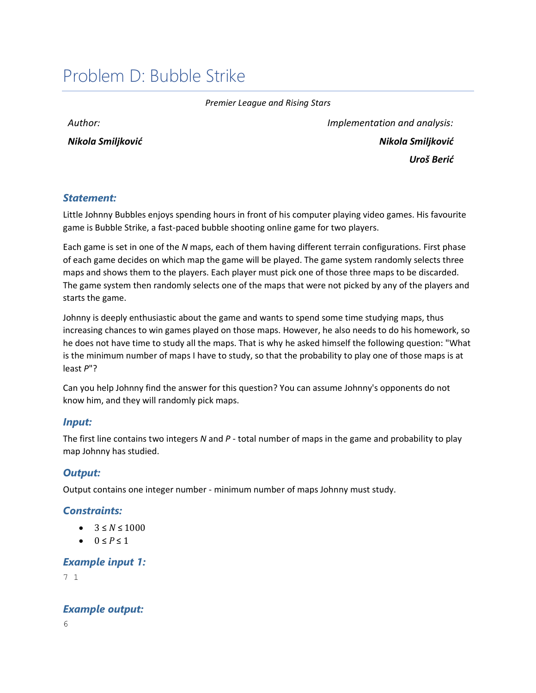## <span id="page-9-0"></span>Problem D: Bubble Strike

*Premier League and Rising Stars*

*Author:* 

*Nikola Smiljković*

*Implementation and analysis: Nikola Smiljković Uroš Berić*

#### *Statement:*

Little Johnny Bubbles enjoys spending hours in front of his computer playing video games. His favourite game is Bubble Strike, a fast-paced bubble shooting online game for two players.

Each game is set in one of the *N* maps, each of them having different terrain configurations. First phase of each game decides on which map the game will be played. The game system randomly selects three maps and shows them to the players. Each player must pick one of those three maps to be discarded. The game system then randomly selects one of the maps that were not picked by any of the players and starts the game.

Johnny is deeply enthusiastic about the game and wants to spend some time studying maps, thus increasing chances to win games played on those maps. However, he also needs to do his homework, so he does not have time to study all the maps. That is why he asked himself the following question: "What is the minimum number of maps I have to study, so that the probability to play one of those maps is at least *P*"?

Can you help Johnny find the answer for this question? You can assume Johnny's opponents do not know him, and they will randomly pick maps.

#### *Input:*

The first line contains two integers *N* and *P* - total number of maps in the game and probability to play map Johnny has studied.

#### *Output:*

Output contains one integer number - minimum number of maps Johnny must study.

## *Constraints:*

- $3 \le N \le 1000$
- $0 < P < 1$

#### *Example input 1:*

7 1

*Example output:*

6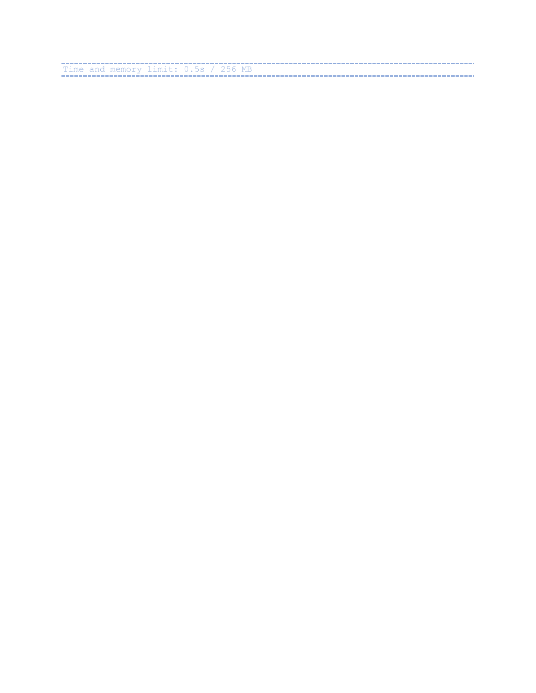The and memory limit: 0.5s / 256 MB<br>Time and memory limit: 0.5s / 256 MB<br>The and memory limit: 0.5s / 256 MB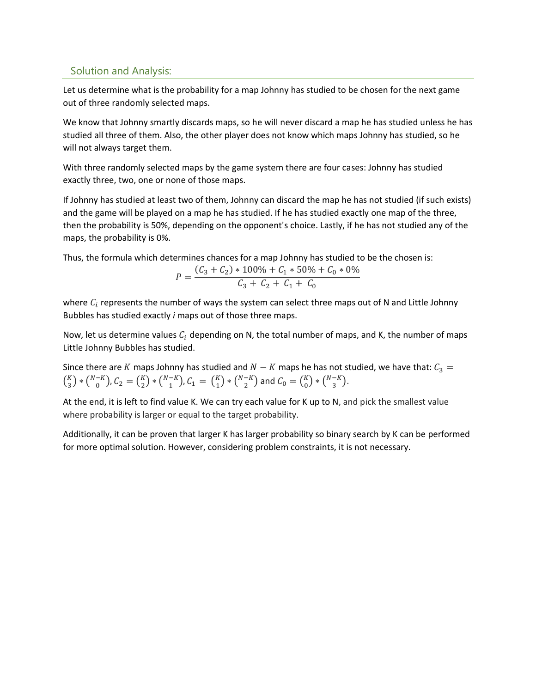## Solution and Analysis:

Let us determine what is the probability for a map Johnny has studied to be chosen for the next game out of three randomly selected maps.

We know that Johnny smartly discards maps, so he will never discard a map he has studied unless he has studied all three of them. Also, the other player does not know which maps Johnny has studied, so he will not always target them.

With three randomly selected maps by the game system there are four cases: Johnny has studied exactly three, two, one or none of those maps.

If Johnny has studied at least two of them, Johnny can discard the map he has not studied (if such exists) and the game will be played on a map he has studied. If he has studied exactly one map of the three, then the probability is 50%, depending on the opponent's choice. Lastly, if he has not studied any of the maps, the probability is 0%.

Thus, the formula which determines chances for a map Johnny has studied to be the chosen is:

$$
P = \frac{(C_3 + C_2) * 100\% + C_1 * 50\% + C_0 * 0\%}{C_3 + C_2 + C_1 + C_0}
$$

where  $C_i$  represents the number of ways the system can select three maps out of N and Little Johnny Bubbles has studied exactly *i* maps out of those three maps.

Now, let us determine values  $C_i$  depending on N, the total number of maps, and K, the number of maps Little Johnny Bubbles has studied.

Since there are K maps Johnny has studied and  $N - K$  maps he has not studied, we have that:  $C_3 =$  $\binom{K}{3}$  $\binom{K}{3} * \binom{N-K}{0}$  $\binom{-K}{0}$ ,  $C_2 = \binom{K}{2}$  ${K \choose 2} * {N-K \choose 1}$  $\binom{-K}{1}$ ,  $C_1 = \binom{K}{1}$  $_{1}^{K}$ ) \*  $\binom{N-K}{2}$  $\binom{-K}{2}$  and  $C_0 = \binom{K}{0}$  ${K \choose 0} * {N-K \choose 3}$  $\binom{-\kappa}{3}$ .

At the end, it is left to find value K. We can try each value for K up to N, and pick the smallest value where probability is larger or equal to the target probability.

Additionally, it can be proven that larger K has larger probability so binary search by K can be performed for more optimal solution. However, considering problem constraints, it is not necessary.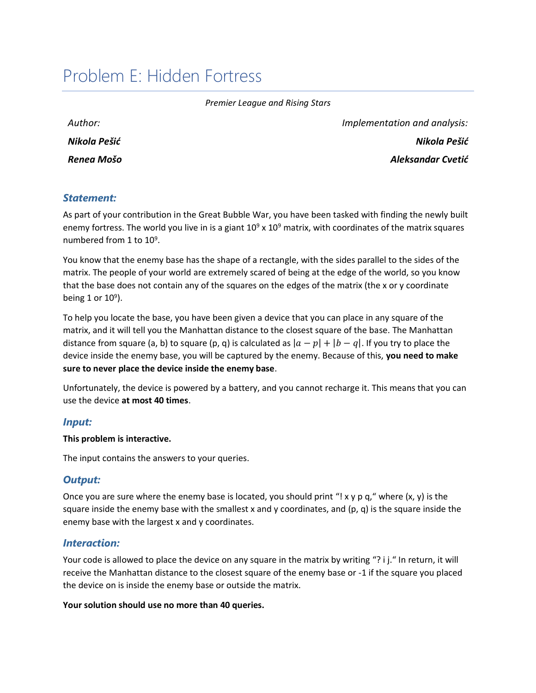## <span id="page-12-0"></span>Problem E: Hidden Fortress

| Author:      |
|--------------|
| Nikola Pešić |
| Renea Mošo   |

*Implementation and analysis: Nikola Pešić Aleksandar Cvetić*

#### *Statement:*

As part of your contribution in the Great Bubble War, you have been tasked with finding the newly built enemy fortress. The world you live in is a giant  $10^9 \times 10^9$  matrix, with coordinates of the matrix squares numbered from 1 to 10<sup>9</sup>.

You know that the enemy base has the shape of a rectangle, with the sides parallel to the sides of the matrix. The people of your world are extremely scared of being at the edge of the world, so you know that the base does not contain any of the squares on the edges of the matrix (the x or y coordinate being 1 or  $10^9$ ).

To help you locate the base, you have been given a device that you can place in any square of the matrix, and it will tell you the Manhattan distance to the closest square of the base. The Manhattan distance from square (a, b) to square (p, q) is calculated as  $|a - p| + |b - q|$ . If you try to place the device inside the enemy base, you will be captured by the enemy. Because of this, **you need to make sure to never place the device inside the enemy base**.

Unfortunately, the device is powered by a battery, and you cannot recharge it. This means that you can use the device **at most 40 times**.

#### *Input:*

#### **This problem is interactive.**

The input contains the answers to your queries.

#### *Output:*

Once you are sure where the enemy base is located, you should print "! x y p q," where  $(x, y)$  is the square inside the enemy base with the smallest x and y coordinates, and  $(p, q)$  is the square inside the enemy base with the largest x and y coordinates.

#### *Interaction:*

Your code is allowed to place the device on any square in the matrix by writing "? i j." In return, it will receive the Manhattan distance to the closest square of the enemy base or -1 if the square you placed the device on is inside the enemy base or outside the matrix.

#### **Your solution should use no more than 40 queries.**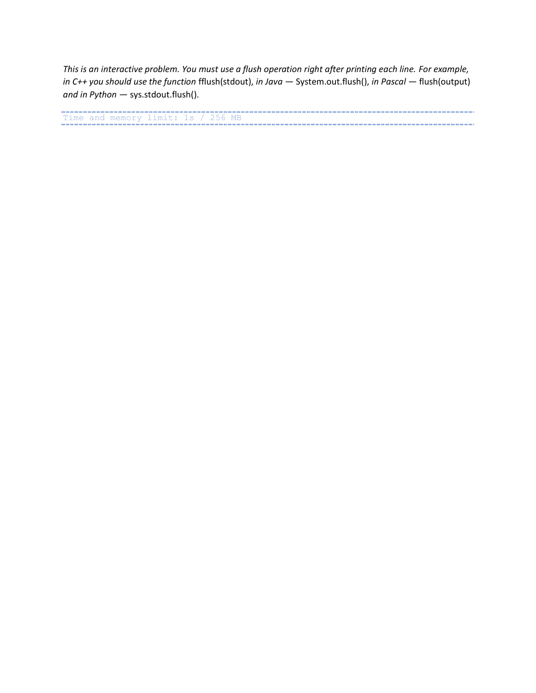*This is an interactive problem. You must use a flush operation right after printing each line. For example, in C++ you should use the function* fflush(stdout), *in Java —* System.out.flush(), *in Pascal —* flush(output) *and in Python —* sys.stdout.flush().

Time and memory limit: 1s / 256 MB<br>Time and memory limit: 1s / 256 MB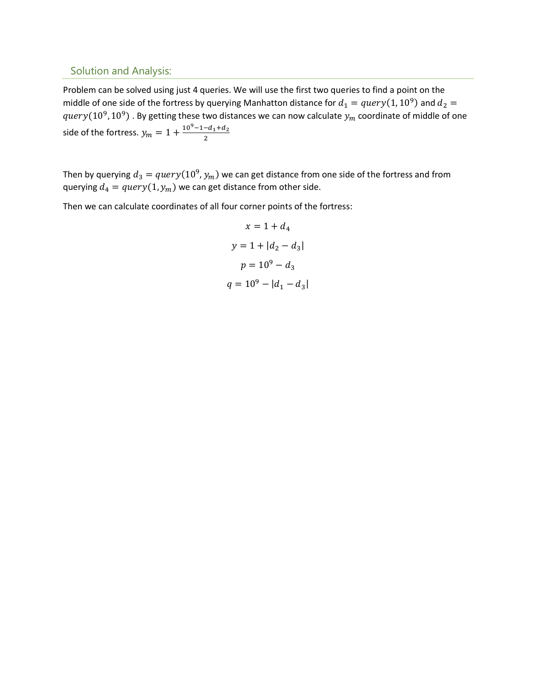#### Solution and Analysis:

Problem can be solved using just 4 queries. We will use the first two queries to find a point on the middle of one side of the fortress by querying Manhatton distance for  $d_1 = query(1, 10^9)$  and  $d_2 =$  $query(10^9, 10^9)$  . By getting these two distances we can now calculate  $y_m$  coordinate of middle of one side of the fortress.  $y_m = 1 + \frac{10^9-1-d_1+d_2}{2}$ 2

Then by querying  $d_3 = query(10^9, y_m)$  we can get distance from one side of the fortress and from querying  $d_4 = query(1, y_m)$  we can get distance from other side.

Then we can calculate coordinates of all four corner points of the fortress:

$$
x = 1 + d_4
$$
  

$$
y = 1 + |d_2 - d_3|
$$
  

$$
p = 10^9 - d_3
$$
  

$$
q = 10^9 - |d_1 - d_3|
$$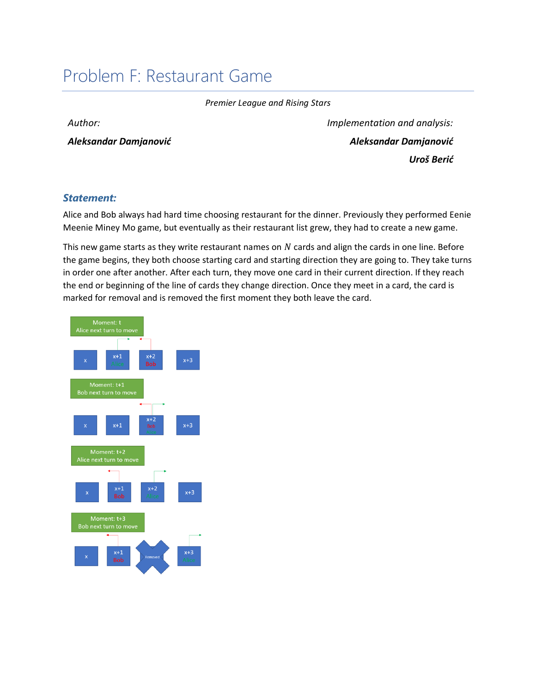## <span id="page-15-0"></span>Problem F: Restaurant Game

*Premier League and Rising Stars*

*Author:* 

*Aleksandar Damjanović*

*Implementation and analysis: Aleksandar Damjanović Uroš Berić*

#### *Statement:*

Alice and Bob always had hard time choosing restaurant for the dinner. Previously they performed Eenie Meenie Miney Mo game, but eventually as their restaurant list grew, they had to create a new game.

This new game starts as they write restaurant names on  $N$  cards and align the cards in one line. Before the game begins, they both choose starting card and starting direction they are going to. They take turns in order one after another. After each turn, they move one card in their current direction. If they reach the end or beginning of the line of cards they change direction. Once they meet in a card, the card is marked for removal and is removed the first moment they both leave the card.

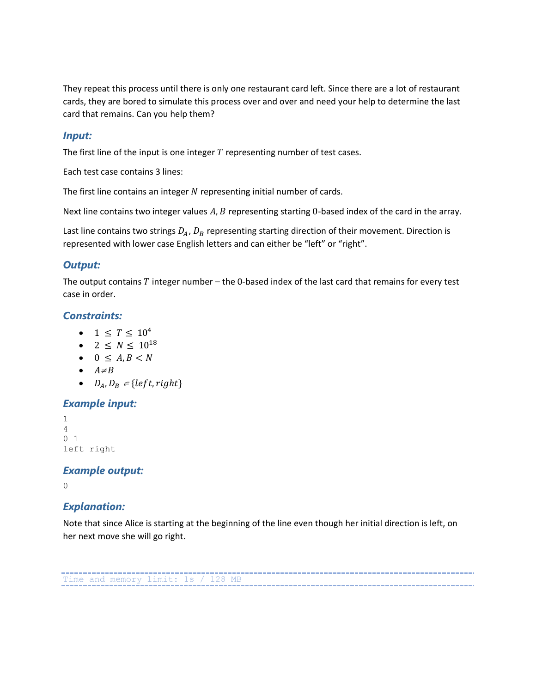They repeat this process until there is only one restaurant card left. Since there are a lot of restaurant cards, they are bored to simulate this process over and over and need your help to determine the last card that remains. Can you help them?

#### *Input:*

The first line of the input is one integer  $T$  representing number of test cases.

Each test case contains 3 lines:

The first line contains an integer  $N$  representing initial number of cards.

Next line contains two integer values  $A, B$  representing starting 0-based index of the card in the array.

Last line contains two strings  $D_A$ ,  $D_B$  representing starting direction of their movement. Direction is represented with lower case English letters and can either be "left" or "right".

#### *Output:*

The output contains  $T$  integer number – the 0-based index of the last card that remains for every test case in order.

#### *Constraints:*

- $1 \le T \le 10^4$
- 2  $\leq N \leq 10^{18}$
- $\bullet$  0  $\leq$  A, B  $\lt N$
- $A \neq B$
- $D_A, D_B \in \{left, right\}$

#### *Example input:*

```
1
4
0 1
left right
```
#### *Example output:*

0

#### *Explanation:*

Note that since Alice is starting at the beginning of the line even though her initial direction is left, on her next move she will go right.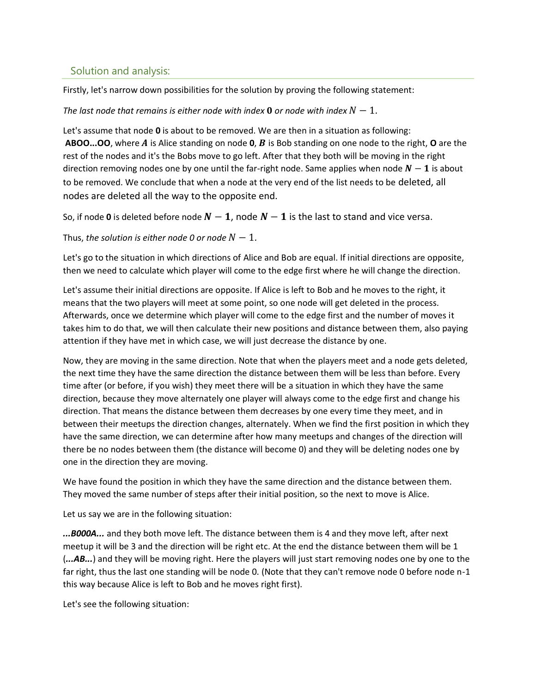#### Solution and analysis:

Firstly, let's narrow down possibilities for the solution by proving the following statement:

#### *The last node that remains is either node with index* **0** or node with index  $N - 1$ .

Let's assume that node **0** is about to be removed. We are then in a situation as following: **ABOO...OO**, where A is Alice standing on node **0**, B is Bob standing on one node to the right, **O** are the rest of the nodes and it's the Bobs move to go left. After that they both will be moving in the right direction removing nodes one by one until the far-right node. Same applies when node  $N-1$  is about to be removed. We conclude that when a node at the very end of the list needs to be deleted, all nodes are deleted all the way to the opposite end.

So, if node 0 is deleted before node  $N-1$ , node  $N-1$  is the last to stand and vice versa.

Thus, the solution is either node 0 or node  $N - 1$ .

Let's go to the situation in which directions of Alice and Bob are equal. If initial directions are opposite, then we need to calculate which player will come to the edge first where he will change the direction.

Let's assume their initial directions are opposite. If Alice is left to Bob and he moves to the right, it means that the two players will meet at some point, so one node will get deleted in the process. Afterwards, once we determine which player will come to the edge first and the number of moves it takes him to do that, we will then calculate their new positions and distance between them, also paying attention if they have met in which case, we will just decrease the distance by one.

Now, they are moving in the same direction. Note that when the players meet and a node gets deleted, the next time they have the same direction the distance between them will be less than before. Every time after (or before, if you wish) they meet there will be a situation in which they have the same direction, because they move alternately one player will always come to the edge first and change his direction. That means the distance between them decreases by one every time they meet, and in between their meetups the direction changes, alternately. When we find the first position in which they have the same direction, we can determine after how many meetups and changes of the direction will there be no nodes between them (the distance will become 0) and they will be deleting nodes one by one in the direction they are moving.

We have found the position in which they have the same direction and the distance between them. They moved the same number of steps after their initial position, so the next to move is Alice.

Let us say we are in the following situation:

*...B000A...* and they both move left. The distance between them is 4 and they move left, after next meetup it will be 3 and the direction will be right etc. At the end the distance between them will be 1 (*...AB...*) and they will be moving right. Here the players will just start removing nodes one by one to the far right, thus the last one standing will be node 0. (Note that they can't remove node 0 before node n-1 this way because Alice is left to Bob and he moves right first).

Let's see the following situation: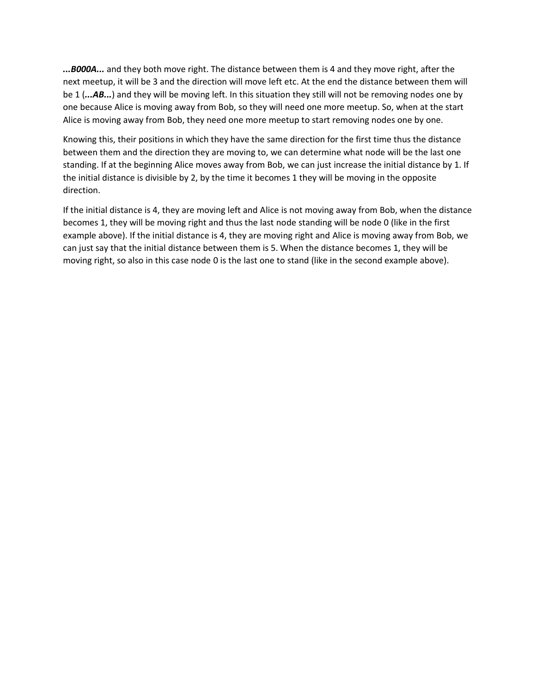*...B000A...* and they both move right. The distance between them is 4 and they move right, after the next meetup, it will be 3 and the direction will move left etc. At the end the distance between them will be 1 (*...AB...*) and they will be moving left. In this situation they still will not be removing nodes one by one because Alice is moving away from Bob, so they will need one more meetup. So, when at the start Alice is moving away from Bob, they need one more meetup to start removing nodes one by one.

Knowing this, their positions in which they have the same direction for the first time thus the distance between them and the direction they are moving to, we can determine what node will be the last one standing. If at the beginning Alice moves away from Bob, we can just increase the initial distance by 1. If the initial distance is divisible by 2, by the time it becomes 1 they will be moving in the opposite direction.

If the initial distance is 4, they are moving left and Alice is not moving away from Bob, when the distance becomes 1, they will be moving right and thus the last node standing will be node 0 (like in the first example above). If the initial distance is 4, they are moving right and Alice is moving away from Bob, we can just say that the initial distance between them is 5. When the distance becomes 1, they will be moving right, so also in this case node 0 is the last one to stand (like in the second example above).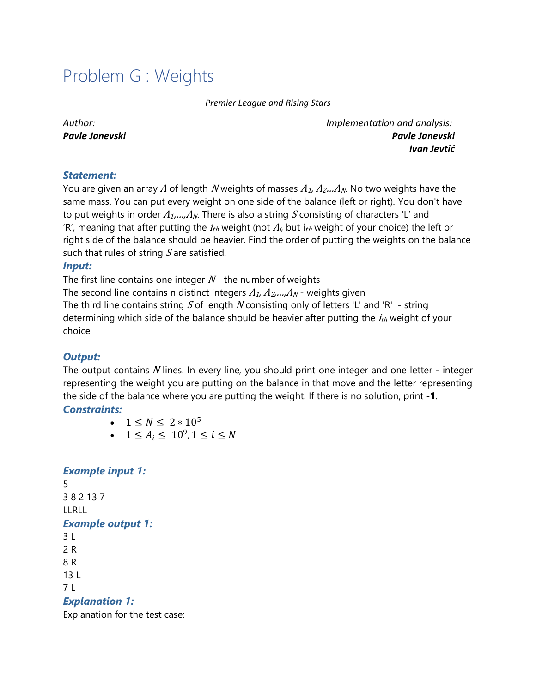## <span id="page-19-0"></span>Problem G : Weights

*Premier League and Rising Stars*

*Author: Pavle Janevski* *Implementation and analysis: Pavle Janevski Ivan Jevtić*

#### *Statement:*

You are given an array A of length N weights of masses  $A_1, A_2...A_N$ . No two weights have the same mass. You can put every weight on one side of the balance (left or right). You don't have to put weights in order  $A_1,...,A_N$ . There is also a string S consisting of characters 'L' and 'R', meaning that after putting the  $i_{th}$  weight (not  $A_i$  but  $i_{th}$  weight of your choice) the left or right side of the balance should be heavier. Find the order of putting the weights on the balance such that rules of string  $S$  are satisfied.

#### *Input:*

The first line contains one integer  $N$  - the number of weights

The second line contains n distinct integers  $A_1, A_2, \ldots, A_N$  - weights given The third line contains string S of length N consisting only of letters 'L' and 'R' - string determining which side of the balance should be heavier after putting the  $i_{th}$  weight of your choice

## *Output:*

The output contains  $N$  lines. In every line, you should print one integer and one letter - integer representing the weight you are putting on the balance in that move and the letter representing the side of the balance where you are putting the weight. If there is no solution, print **-1**.

#### *Constraints:*

- $1 \le N \le 2 * 10^5$
- $1 \le A_i \le 10^9, 1 \le i \le N$

#### *Example input 1:*

5 3 8 2 13 7 LLRLL *Example output 1:*  $3<sub>L</sub>$ 2 R 8 R 13 L 7 L *Explanation 1:*

Explanation for the test case: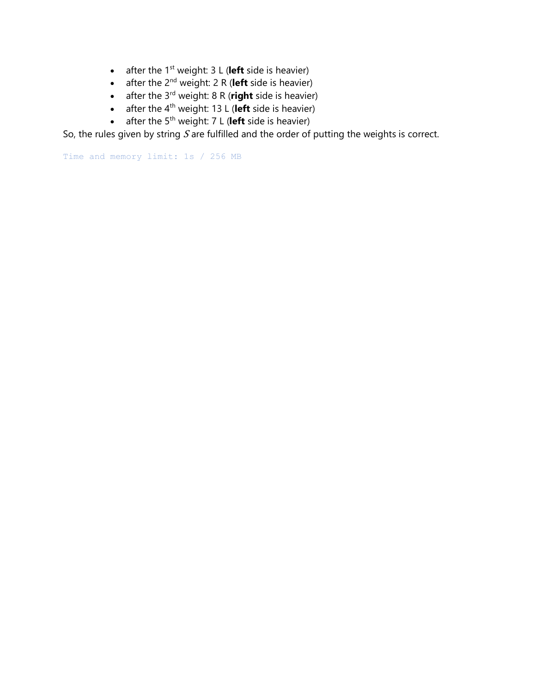- after the 1<sup>st</sup> weight: 3 L (left side is heavier)
- after the 2<sup>nd</sup> weight: 2 R (left side is heavier)
- after the 3<sup>rd</sup> weight: 8 R (right side is heavier)
- after the 4th weight: 13 L (**left** side is heavier)
- after the 5th weight: 7 L (**left** side is heavier)

So, the rules given by string  $S$  are fulfilled and the order of putting the weights is correct.

Time and memory limit: 1s / 256 MB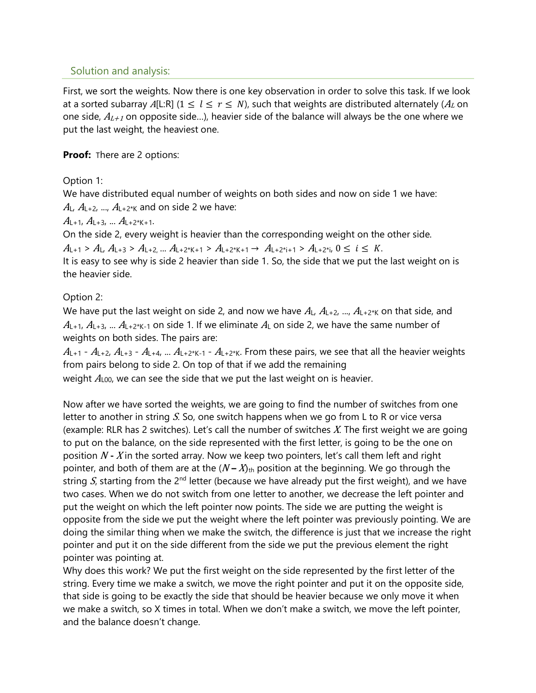### Solution and analysis:

First, we sort the weights. Now there is one key observation in order to solve this task. If we look at a sorted subarray A[L:R] ( $1 \leq l \leq r \leq N$ ), such that weights are distributed alternately ( $A_L$  on one side,  $A_{L+1}$  on opposite side...), heavier side of the balance will always be the one where we put the last weight, the heaviest one.

#### **Proof:** There are 2 options:

Option 1:

We have distributed equal number of weights on both sides and now on side 1 we have:

 $A_L$ ,  $A_{L+2}$ , ...,  $A_{L+2^*K}$  and on side 2 we have:

 $A_{L+1}, A_{L+3}, \dots A_{L+2*K+1}.$ 

On the side 2, every weight is heavier than the corresponding weight on the other side.

 $A_{L+1} > A_{L}, A_{L+3} > A_{L+2}, \ldots A_{L+2^{*}K+1} > A_{L+2^{*}K+1} \rightarrow A_{L+2^{*}i+1} > A_{L+2^{*}i}, 0 \leq i \leq K.$ 

It is easy to see why is side 2 heavier than side 1. So, the side that we put the last weight on is the heavier side.

## Option 2:

We have put the last weight on side 2, and now we have  $A_L$ ,  $A_{L+2}$ , ...,  $A_{L+2^{*}K}$  on that side, and  $A_{L+1}$ ,  $A_{L+3}$ , ...  $A_{L+2*K-1}$  on side 1. If we eliminate  $A_L$  on side 2, we have the same number of weights on both sides. The pairs are:

 $A_{L+1}$  -  $A_{L+2}$ ,  $A_{L+3}$  -  $A_{L+4}$ , ...  $A_{L+2*K-1}$  -  $A_{L+2*K}$ . From these pairs, we see that all the heavier weights from pairs belong to side 2. On top of that if we add the remaining weight  $A_{100}$ , we can see the side that we put the last weight on is heavier.

Now after we have sorted the weights, we are going to find the number of switches from one letter to another in string S. So, one switch happens when we go from L to R or vice versa (example: RLR has 2 switches). Let's call the number of switches  $X$ . The first weight we are going to put on the balance, on the side represented with the first letter, is going to be the one on position N **-** X in the sorted array. Now we keep two pointers, let's call them left and right pointer, and both of them are at the  $(N - X)_{\text{th}}$  position at the beginning. We go through the string S, starting from the 2<sup>nd</sup> letter (because we have already put the first weight), and we have two cases. When we do not switch from one letter to another, we decrease the left pointer and put the weight on which the left pointer now points. The side we are putting the weight is opposite from the side we put the weight where the left pointer was previously pointing. We are doing the similar thing when we make the switch, the difference is just that we increase the right pointer and put it on the side different from the side we put the previous element the right pointer was pointing at.

Why does this work? We put the first weight on the side represented by the first letter of the string. Every time we make a switch, we move the right pointer and put it on the opposite side, that side is going to be exactly the side that should be heavier because we only move it when we make a switch, so X times in total. When we don't make a switch, we move the left pointer, and the balance doesn't change.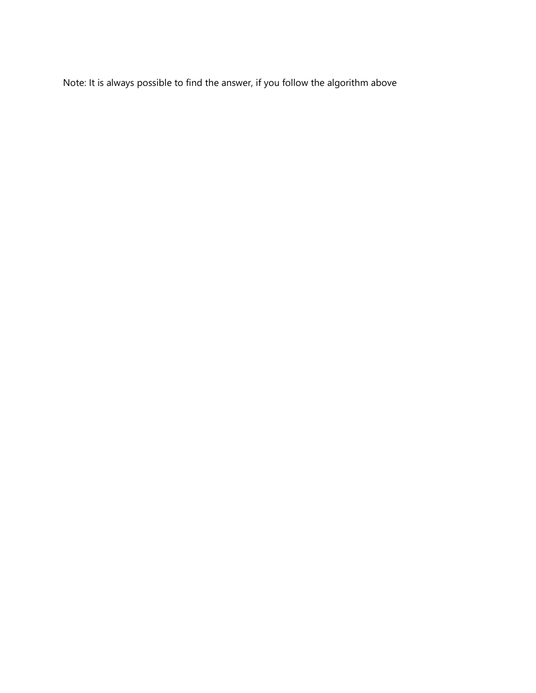Note: It is always possible to find the answer, if you follow the algorithm above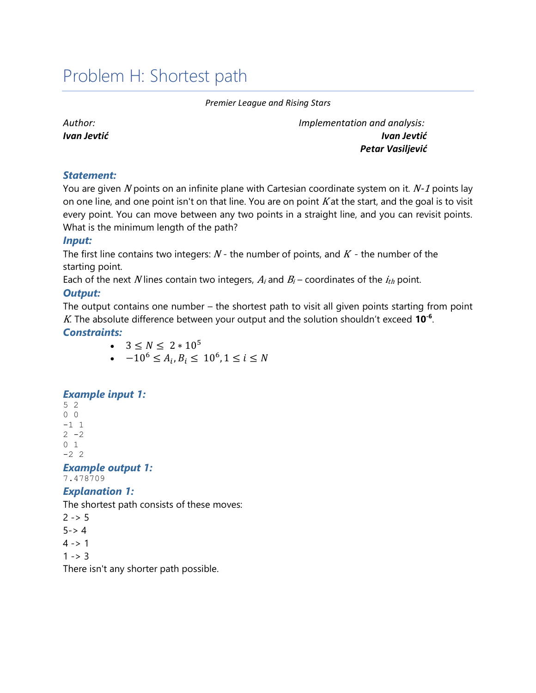## <span id="page-23-0"></span>Problem H: Shortest path

#### *Premier League and Rising Stars*

*Author: Ivan Jevtić* *Implementation and analysis: Ivan Jevtić Petar Vasiljević*

#### *Statement:*

You are given N points on an infinite plane with Cartesian coordinate system on it.  $N-1$  points lay on one line, and one point isn't on that line. You are on point  $K$  at the start, and the goal is to visit every point. You can move between any two points in a straight line, and you can revisit points. What is the minimum length of the path?

#### *Input:*

The first line contains two integers:  $N$  - the number of points, and  $K$  - the number of the starting point.

Each of the next N lines contain two integers,  $A_i$  and  $B_i$  – coordinates of the  $i_{th}$  point.

#### *Output:*

The output contains one number – the shortest path to visit all given points starting from point <sup>K</sup>. The absolute difference between your output and the solution shouldn't exceed **10-6** .

#### *Constraints:*

- $3 \le N \le 2 * 10^5$
- $-10^6 \le A_i, B_i \le 10^6, 1 \le i \le N$

#### *Example input 1:*

#### *Example output 1:* 7.478709

#### *Explanation 1:*

The shortest path consists of these moves:

 $2 - 5$  $5 - > 4$  $4 - 1$  $1 - > 3$ There isn't any shorter path possible.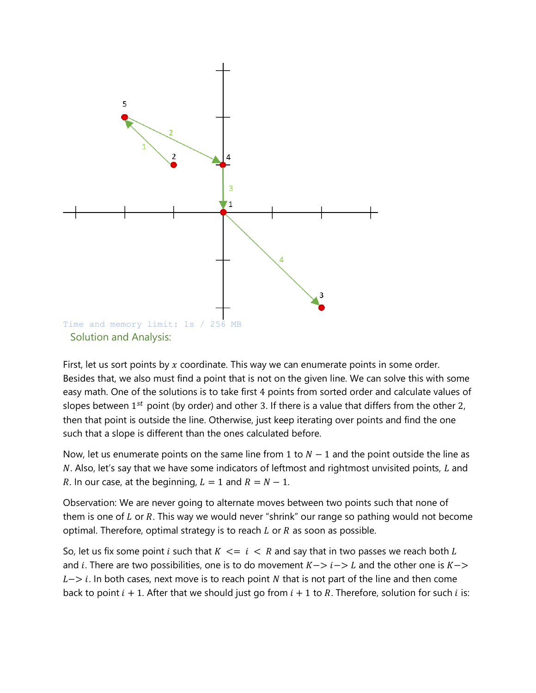

First, let us sort points by  $x$  coordinate. This way we can enumerate points in some order. Besides that, we also must find a point that is not on the given line. We can solve this with some easy math. One of the solutions is to take first 4 points from sorted order and calculate values of slopes between 1st point (by order) and other 3. If there is a value that differs from the other 2, then that point is outside the line. Otherwise, just keep iterating over points and find the one such that a slope is different than the ones calculated before.

Now, let us enumerate points on the same line from 1 to  $N - 1$  and the point outside the line as  $N$ . Also, let's say that we have some indicators of leftmost and rightmost unvisited points,  $L$  and R. In our case, at the beginning,  $L = 1$  and  $R = N - 1$ .

Observation: We are never going to alternate moves between two points such that none of them is one of  $L$  or  $R$ . This way we would never "shrink" our range so pathing would not become optimal. Therefore, optimal strategy is to reach  $L$  or  $R$  as soon as possible.

So, let us fix some point *i* such that  $K \le i \le R$  and say that in two passes we reach both L and i. There are two possibilities, one is to do movement  $K->i->L$  and the other one is  $K->$  $L->i$ . In both cases, next move is to reach point N that is not part of the line and then come back to point  $i + 1$ . After that we should just go from  $i + 1$  to R. Therefore, solution for such  $i$  is: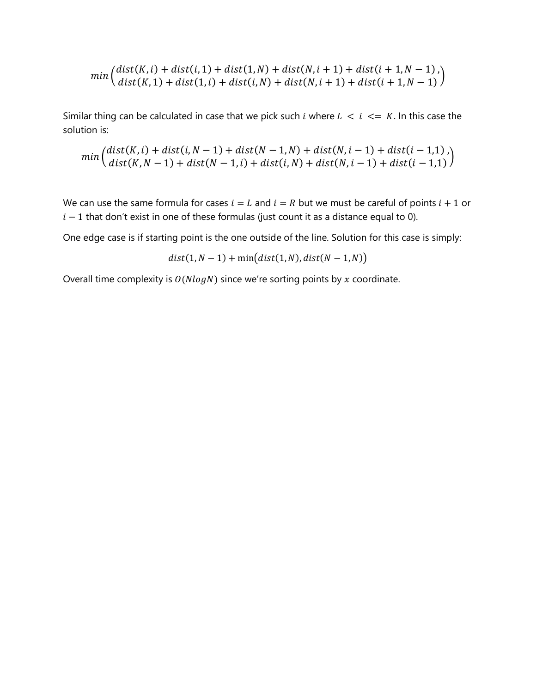$$
min\left(\frac{dist(K,i) + dist(i,1) + dist(1,N) + dist(N,i+1) + dist(i+1,N-1)}{dist(K,1) + dist(1,i) + dist(i,N) + dist(N,i+1) + dist(i+1,N-1)}\right)
$$

Similar thing can be calculated in case that we pick such *i* where  $L < i < K$ . In this case the solution is:

$$
min\left(\frac{dist(K,i) + dist(i,N-1) + dist(N-1,N) + dist(N,i-1) + dist(i-1,1)}{dist(K,N-1) + dist(N-1,i) + dist(i,N) + dist(N,i-1) + dist(i-1,1)}\right)
$$

We can use the same formula for cases  $i = L$  and  $i = R$  but we must be careful of points  $i + 1$  or  $i - 1$  that don't exist in one of these formulas (just count it as a distance equal to 0).

One edge case is if starting point is the one outside of the line. Solution for this case is simply:

$$
dist(1, N-1) + \min\big(dist(1, N), dist(N-1, N)\big)
$$

Overall time complexity is  $O(N \log N)$  since we're sorting points by x coordinate.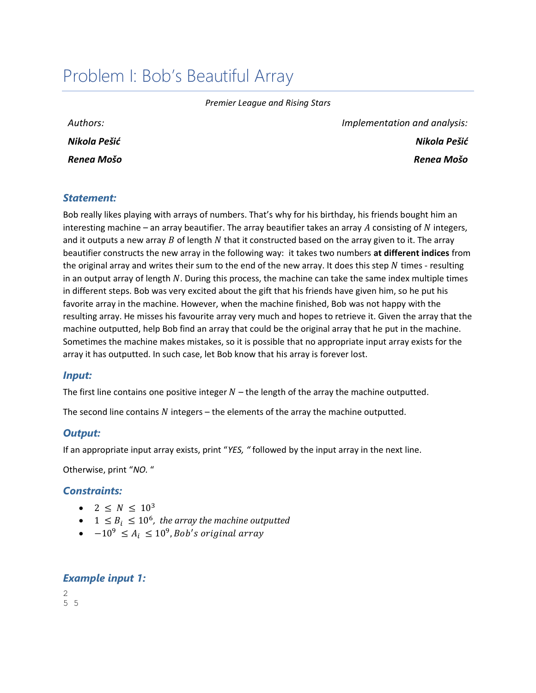## <span id="page-26-0"></span>Problem I: Bob's Beautiful Array

*Premier League and Rising Stars*

| Authors:     |
|--------------|
| Nikola Pešić |
| Renea Mošo   |

*Implementation and analysis: Nikola Pešić Renea Mošo*

#### *Statement:*

Bob really likes playing with arrays of numbers. That's why for his birthday, his friends bought him an interesting machine – an array beautifier. The array beautifier takes an array  $A$  consisting of  $N$  integers, and it outputs a new array  $B$  of length  $N$  that it constructed based on the array given to it. The array beautifier constructs the new array in the following way: it takes two numbers **at different indices** from the original array and writes their sum to the end of the new array. It does this step  $N$  times - resulting in an output array of length  $N$ . During this process, the machine can take the same index multiple times in different steps. Bob was very excited about the gift that his friends have given him, so he put his favorite array in the machine. However, when the machine finished, Bob was not happy with the resulting array. He misses his favourite array very much and hopes to retrieve it. Given the array that the machine outputted, help Bob find an array that could be the original array that he put in the machine. Sometimes the machine makes mistakes, so it is possible that no appropriate input array exists for the array it has outputted. In such case, let Bob know that his array is forever lost.

#### *Input:*

The first line contains one positive integer  $N$  – the length of the array the machine outputted.

The second line contains  $N$  integers – the elements of the array the machine outputted.

#### *Output:*

If an appropriate input array exists, print "*YES, "* followed by the input array in the next line.

Otherwise, print "*NO.* "

#### *Constraints:*

- $2 < N < 10^3$
- $1 \leq B_i \leq 10^6$ , the array the machine outputted
- $-10^9 \le A_i \le 10^9$ , Bob's original array

#### *Example input 1:*

 $\mathfrak{D}$ 5 5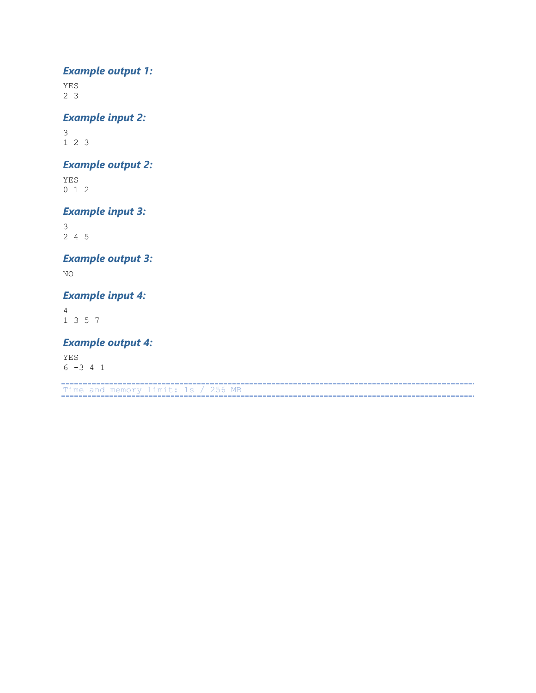## *Example output 1:*

YES 2 3

## *Example input 2:*

3 1 2 3

### *Example output 2:*

YES 0 1 2

### *Example input 3:*

3 2 4 5

## *Example output 3:*

NO

### *Example input 4:*

4 1 3 5 7

### *Example output 4:*

YES  $6 -3 4 1$ 

Time and memory limit: 1s / 256 MB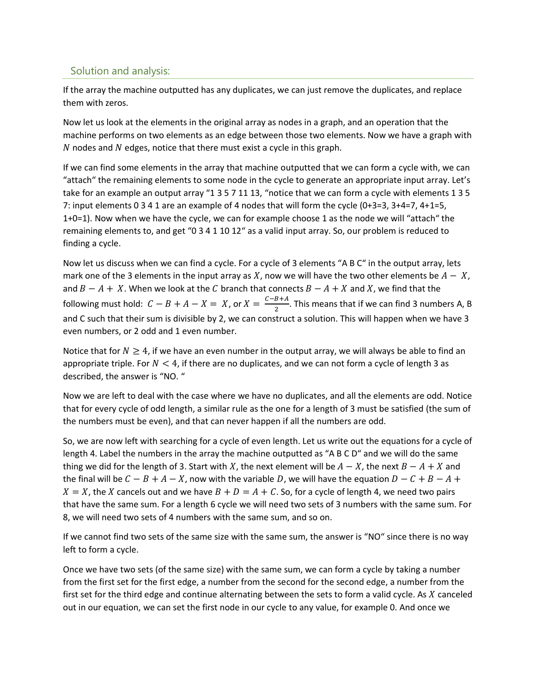### Solution and analysis:

If the array the machine outputted has any duplicates, we can just remove the duplicates, and replace them with zeros.

Now let us look at the elements in the original array as nodes in a graph, and an operation that the machine performs on two elements as an edge between those two elements. Now we have a graph with  $N$  nodes and  $N$  edges, notice that there must exist a cycle in this graph.

If we can find some elements in the array that machine outputted that we can form a cycle with, we can "attach" the remaining elements to some node in the cycle to generate an appropriate input array. Let's take for an example an output array "1 3 5 7 11 13, "notice that we can form a cycle with elements 1 3 5 7: input elements 0 3 4 1 are an example of 4 nodes that will form the cycle (0+3=3, 3+4=7, 4+1=5, 1+0=1). Now when we have the cycle, we can for example choose 1 as the node we will "attach" the remaining elements to, and get "0 3 4 1 10 12" as a valid input array. So, our problem is reduced to finding a cycle.

Now let us discuss when we can find a cycle. For a cycle of 3 elements "A B C" in the output array, lets mark one of the 3 elements in the input array as X, now we will have the two other elements be  $A - X$ , and  $B - A + X$ . When we look at the C branch that connects  $B - A + X$  and X, we find that the following must hold:  $C - B + A - X = X$ , or  $X = \frac{C - B + A}{2}$  $\frac{B+A}{2}$ . This means that if we can find 3 numbers A, B and C such that their sum is divisible by 2, we can construct a solution. This will happen when we have 3 even numbers, or 2 odd and 1 even number.

Notice that for  $N \geq 4$ , if we have an even number in the output array, we will always be able to find an appropriate triple. For  $N < 4$ , if there are no duplicates, and we can not form a cycle of length 3 as described, the answer is "NO. "

Now we are left to deal with the case where we have no duplicates, and all the elements are odd. Notice that for every cycle of odd length, a similar rule as the one for a length of 3 must be satisfied (the sum of the numbers must be even), and that can never happen if all the numbers are odd.

So, we are now left with searching for a cycle of even length. Let us write out the equations for a cycle of length 4. Label the numbers in the array the machine outputted as "A B C D" and we will do the same thing we did for the length of 3. Start with X, the next element will be  $A - X$ , the next  $B - A + X$  and the final will be  $C - B + A - X$ , now with the variable D, we will have the equation  $D - C + B - A +$  $X = X$ , the X cancels out and we have  $B + D = A + C$ . So, for a cycle of length 4, we need two pairs that have the same sum. For a length 6 cycle we will need two sets of 3 numbers with the same sum. For 8, we will need two sets of 4 numbers with the same sum, and so on.

If we cannot find two sets of the same size with the same sum, the answer is "NO" since there is no way left to form a cycle.

Once we have two sets (of the same size) with the same sum, we can form a cycle by taking a number from the first set for the first edge, a number from the second for the second edge, a number from the first set for the third edge and continue alternating between the sets to form a valid cycle. As  $X$  canceled out in our equation, we can set the first node in our cycle to any value, for example 0. And once we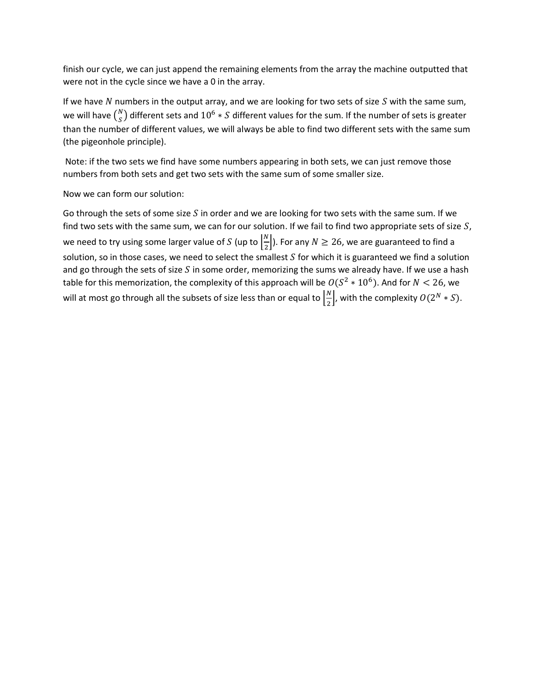finish our cycle, we can just append the remaining elements from the array the machine outputted that were not in the cycle since we have a 0 in the array.

If we have  $N$  numbers in the output array, and we are looking for two sets of size  $S$  with the same sum, we will have  $\binom{N}{S}$  $\binom{N}{S}$  different sets and  $10^6 * S$  different values for the sum. If the number of sets is greater than the number of different values, we will always be able to find two different sets with the same sum (the pigeonhole principle).

Note: if the two sets we find have some numbers appearing in both sets, we can just remove those numbers from both sets and get two sets with the same sum of some smaller size.

Now we can form our solution:

Go through the sets of some size  $S$  in order and we are looking for two sets with the same sum. If we find two sets with the same sum, we can for our solution. If we fail to find two appropriate sets of size  $S$ , we need to try using some larger value of S (up to  $\frac{N}{2}$  $\frac{N}{2}$ ). For any  $N \ge 26$ , we are guaranteed to find a solution, so in those cases, we need to select the smallest  $S$  for which it is guaranteed we find a solution and go through the sets of size  $S$  in some order, memorizing the sums we already have. If we use a hash table for this memorization, the complexity of this approach will be  $O(S^2 * 10^6)$ . And for  $N < 26$ , we will at most go through all the subsets of size less than or equal to  $\frac{N}{2}$  $\frac{N}{2}$ , with the complexity  $O(2^N * S)$ .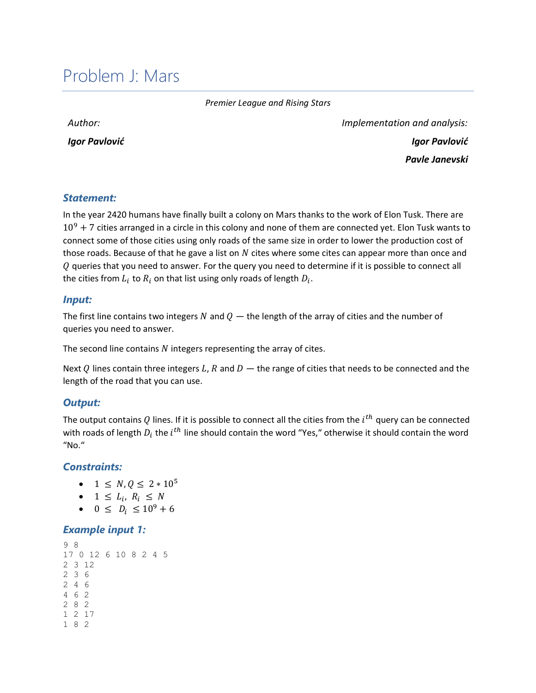## <span id="page-30-0"></span>Problem J: Mars

*Premier League and Rising Stars*

*Author:* 

*Igor Pavlović*

*Implementation and analysis: Igor Pavlović Pavle Janevski*

#### *Statement:*

In the year 2420 humans have finally built a colony on Mars thanks to the work of Elon Tusk. There are  $10^9$  + 7 cities arranged in a circle in this colony and none of them are connected yet. Elon Tusk wants to connect some of those cities using only roads of the same size in order to lower the production cost of those roads. Because of that he gave a list on  $N$  cites where some cites can appear more than once and  $Q$  queries that you need to answer. For the query you need to determine if it is possible to connect all the cities from  $L_i$  to  $R_i$  on that list using only roads of length  $D_i.$ 

#### *Input:*

The first line contains two integers N and  $Q$  — the length of the array of cities and the number of queries you need to answer.

The second line contains  $N$  integers representing the array of cites.

Next Q lines contain three integers L, R and  $D$  — the range of cities that needs to be connected and the length of the road that you can use.

#### *Output:*

The output contains  $Q$  lines. If it is possible to connect all the cities from the  $i^{th}$  query can be connected with roads of length  $D_i$  the  $i^{th}$  line should contain the word "Yes," otherwise it should contain the word "No."

#### *Constraints:*

- $1 \le N, 0 \le 2 * 10^5$
- $1 \leq L_i, R_i \leq N$
- $0 \leq D_i \leq 10^9 + 6$

#### *Example input 1:*

```
9 8
17 0 12 6 10 8 2 4 5
2 3 12
2 3 6
2 4 6
4 6 2
2 8 2
1 2 17
1 8 2
```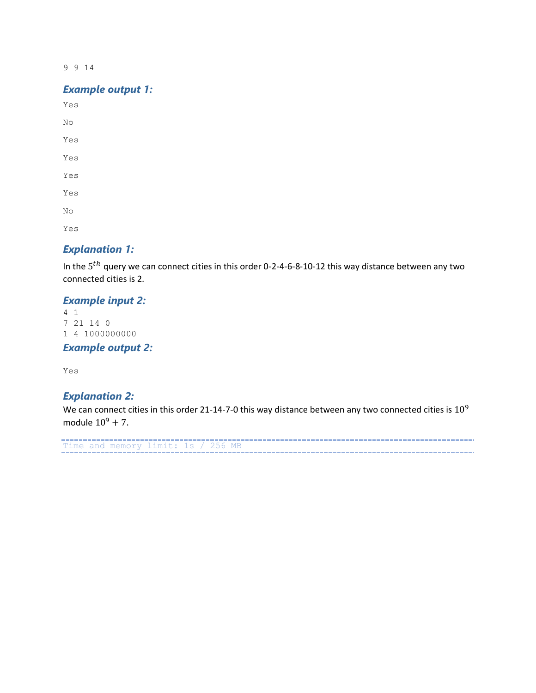9 9 14

#### *Example output 1:*

Yes No Yes Yes Yes Yes No

Yes

#### *Explanation 1:*

In the  $5^{th}$  query we can connect cities in this order 0-2-4-6-8-10-12 this way distance between any two connected cities is 2.

### *Example input 2:*

4 1 7 21 14 0 1 4 1000000000

*Example output 2:*

Yes

### *Explanation 2:*

We can connect cities in this order 21-14-7-0 this way distance between any two connected cities is 10<sup>9</sup> module  $10^{9} + 7$ .

```
Time and memory limit: 1s / 256 MB
```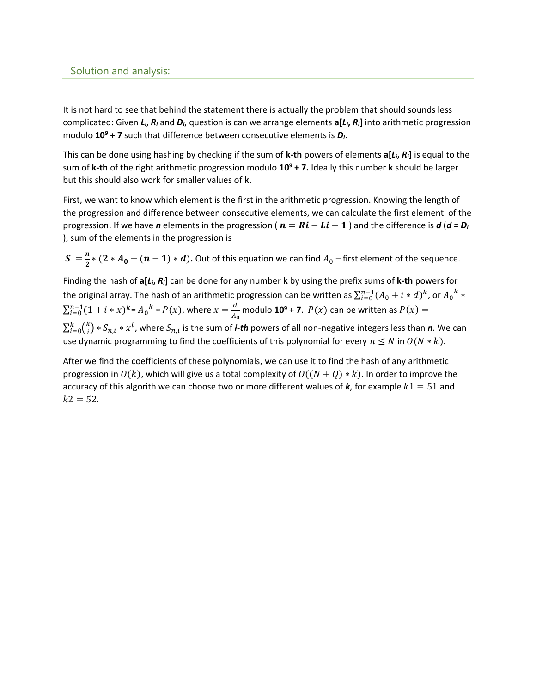#### Solution and analysis:

It is not hard to see that behind the statement there is actually the problem that should sounds less complicated: Given *Li*, *R<sup>i</sup>* and *Di*, question is can we arrange elements **a[***Li***,** *Ri***]** into arithmetic progression modulo **10<sup>9</sup> + 7** such that difference between consecutive elements is *Di*.

This can be done using hashing by checking if the sum of **k-th** powers of elements **a[***Li***,** *Ri***]** is equal to the sum of **k-th** of the right arithmetic progression modulo **10<sup>9</sup> + 7.** Ideally this number **k** should be larger but this should also work for smaller values of **k.**

First, we want to know which element is the first in the arithmetic progression. Knowing the length of the progression and difference between consecutive elements, we can calculate the first element of the progression. If we have *n* elements in the progression ( $n = Ri - Li + 1$ ) and the difference is  $d (d = D_i)$ ), sum of the elements in the progression is

 $S=\frac{n}{2}$  $\frac{n}{2} * (2 * A_0 + (n-1) * d)$ . Out of this equation we can find  $A_0$  – first element of the sequence.

Finding the hash of **a[***Li***,** *Ri***]** can be done for any number **k** by using the prefix sums of **k-th** powers for the original array. The hash of an arithmetic progression can be written as  $\sum_{i=0}^{n-1}(A_0+i*d)^k$ , or  ${A_0}^k$   $*$  $\sum_{i=0}^{n-1} (1+i*x)^k = A_0^k * P(x)$ , where  $x = \frac{d}{4}$  $\frac{a}{A_0}$  modulo **10<sup>9</sup> + 7**.  $P(x)$  can be written as  $P(x) =$  $\sum_{i=0}^k {k \choose i}$  $_{i=0}^{k} {k \choose i} * S_{n,i} * x^i$ , where  $S_{n,i}$  is the sum of *i-th* powers of all non-negative integers less than *n*. We can use dynamic programming to find the coefficients of this polynomial for every  $n \le N$  in  $O(N * k)$ .

After we find the coefficients of these polynomials, we can use it to find the hash of any arithmetic progression in  $O(k)$ , which will give us a total complexity of  $O((N + Q) * k)$ . In order to improve the accuracy of this algorith we can choose two or more different walues of  $k$ , for example  $k1 = 51$  and  $k2 = 52$ .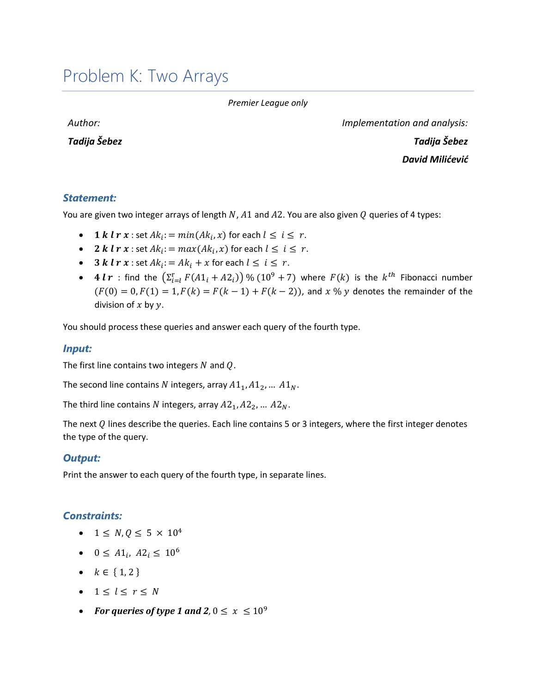## <span id="page-33-0"></span>Problem K: Two Arrays

#### *Premier League only*

*Author:* 

*Tadija Šebez*

*Implementation and analysis: Tadija Šebez David Milićević*

#### *Statement:*

You are given two integer arrays of length N,  $A1$  and  $A2$ . You are also given Q queries of 4 types:

- 1 k l  $r x$  : set  $Ak_i$ : =  $min(Ak_i, x)$  for each  $l \leq i \leq r$ .
- 2 k l  $r x$  : set  $Ak_i$ :  $= max(Ak_i, x)$  for each  $l \leq i \leq r$ .
- **3**  $k \, l \, r \, x$  : set  $Ak_i = Ak_i + x$  for each  $l \leq i \leq r$ .
- 4  $l$   $r$  : find the  $(\sum_{i=1}^{r} F(A1_i + A2_i))$  %  $(10^9 + 7)$  where  $F(k)$  is the  $k^{th}$  Fibonacci number  $(F(0) = 0, F(1) = 1, F(k) = F(k-1) + F(k-2)$ , and x % y denotes the remainder of the division of  $x$  by  $y$ .

You should process these queries and answer each query of the fourth type.

#### *Input:*

The first line contains two integers  $N$  and  $Q$ .

The second line contains N integers, array  $A1_1, A1_2, ... A1_N$ .

The third line contains N integers, array  $A2_1, A2_2, ... A2_N$ .

The next  $Q$  lines describe the queries. Each line contains 5 or 3 integers, where the first integer denotes the type of the query.

#### *Output:*

Print the answer to each query of the fourth type, in separate lines.

#### *Constraints:*

- $1 \le N, Q \le 5 \times 10^4$
- $0 \leq A1_i, A2_i \leq 10^6$
- $k \in \{1, 2\}$
- $1 \leq l \leq r \leq N$
- For queries of type 1 and 2,  $0 \leq x \leq 10^9$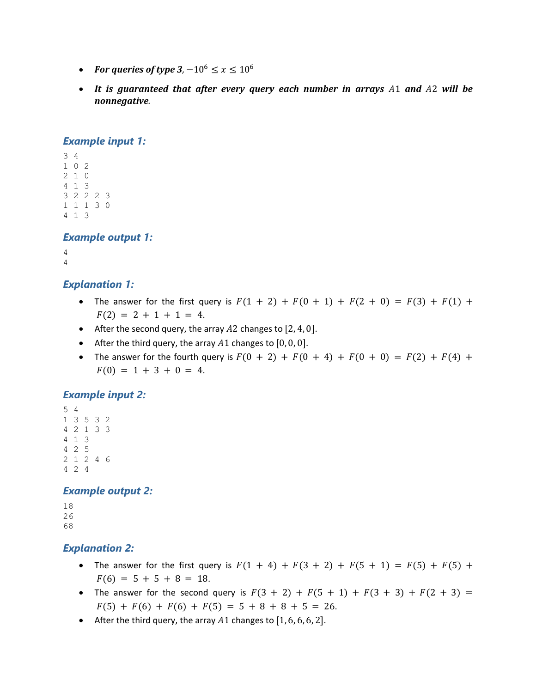- For queries of type  $3$ ,  $-10^6 \le x \le 10^6$
- It is guaranteed that after every query each number in arrays A1 and A2 will be *nonnegative.*

#### *Example input 1:*

```
3 4
1 0 2
2 1 0
4 1 3
3 2 2 2 3
1 1 1 3 0
4 1 3
```
#### *Example output 1:*

```
4
4
```
#### *Explanation 1:*

- The answer for the first query is  $F(1 + 2) + F(0 + 1) + F(2 + 0) = F(3) + F(1) + F(2)$  $F(2) = 2 + 1 + 1 = 4.$
- After the second query, the array  $A2$  changes to  $[2, 4, 0]$ .
- After the third query, the array  $A1$  changes to  $[0, 0, 0]$ .
- The answer for the fourth query is  $F(0 + 2) + F(0 + 4) + F(0 + 0) = F(2) + F(4) +$  $F(0) = 1 + 3 + 0 = 4.$

#### *Example input 2:*

```
5 4
1 3 5 3 2
4 2 1 3 3
4 1 3
4 2 5
2 1 2 4 6
4 2 4
```
#### *Example output 2:*

```
18
26
68
```
#### *Explanation 2:*

- The answer for the first query is  $F(1 + 4) + F(3 + 2) + F(5 + 1) = F(5) + F(5) + F(6)$  $F(6) = 5 + 5 + 8 = 18.$
- The answer for the second query is  $F(3 + 2) + F(5 + 1) + F(3 + 3) + F(2 + 3) =$  $F(5) + F(6) + F(6) + F(5) = 5 + 8 + 8 + 5 = 26.$
- After the third query, the array A1 changes to  $[1, 6, 6, 6, 2]$ .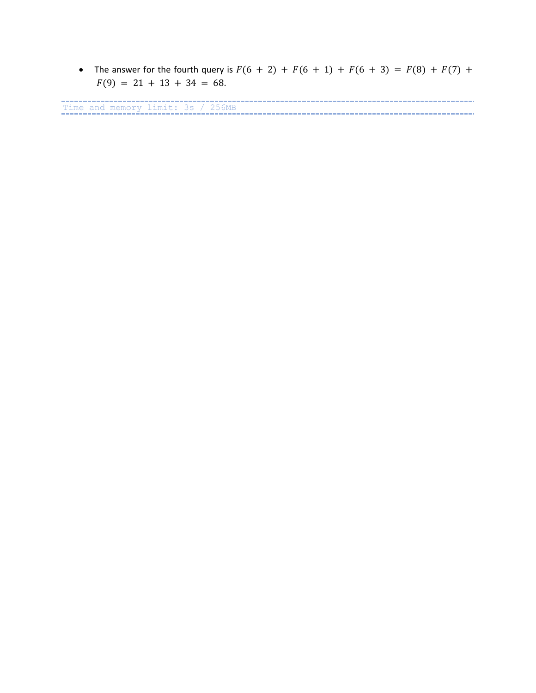• The answer for the fourth query is  $F(6 + 2) + F(6 + 1) + F(6 + 3) = F(8) + F(7) +$  $F(9) = 21 + 13 + 34 = 68.$ 

Time and memory limit: 3s / 256MB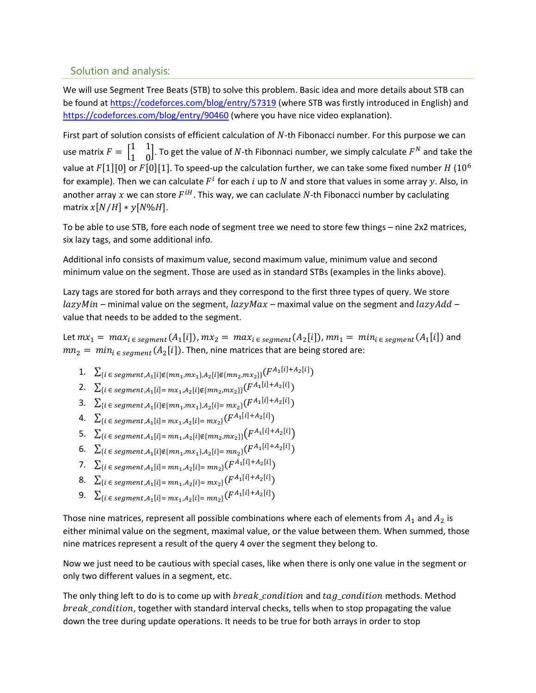#### Solution and analysis:

We will use Segment Tree Beats (STB) to solve this problem. Basic idea and more details about STB can be found at<https://codeforces.com/blog/entry/57319> (where STB was firstly introduced in English) and <https://codeforces.com/blog/entry/90460> (where you have nice video explanation).

First part of solution consists of efficient calculation of  $N$ -th Fibonacci number. For this purpose we can use matrix  $F = \begin{bmatrix} 1 & 1 \\ 1 & 0 \end{bmatrix}$  $\begin{bmatrix} 1 & 1 \\ 1 & 0 \end{bmatrix}$ . To get the value of N-th Fibonnaci number, we simply calculate  $F^N$  and take the value at  $F[1][0]$  or  $F[0][1]$ . To speed-up the calculation further, we can take some fixed number  $H(10^6)$ for example). Then we can calculate  $F^i$  for each  $i$  up to  $N$  and store that values in some array  $y$ . Also, in another array x we can store  $F^{iH}$ . This way, we can caclulate  $N$ -th Fibonacci number by caclulating matrix  $x[N/H] * y[N\%H]$ .

To be able to use STB, fore each node of segment tree we need to store few things – nine 2x2 matrices, six lazy tags, and some additional info.

Additional info consists of maximum value, second maximum value, minimum value and second minimum value on the segment. Those are used as in standard STBs (examples in the links above).

Lazy tags are stored for both arrays and they correspond to the first three types of query. We store  $lazyMin$  – minimal value on the segment,  $lazyMax$  – maximal value on the segment and  $lazyAdd$  – value that needs to be added to the segment.

Let  $mx_1 = max_i \in \mathit{segment}(A_1[i]), mx_2 = max_i \in \mathit{segment}(A_2[i]), mn_1 = min_i \in \mathit{segment}(A_1[i])$  and  $mn_2 = min_{i \in segment}(A_2[i])$ . Then, nine matrices that are being stored are:

- 1.  $\sum_{i \in \text{segment}, A_1[i] \notin \{mn_1, mx_1\}, A_2[i] \notin \{mn_2, mx_2\} } (F^{A_1[i] + A_2[i]})$
- 2.  $\sum_{i \in segment, A_1[i] = mx_1, A_2[i] \notin \{mn_2, mx_2\}\}$  $(F^{A_1[i] + A_2[i]})$
- 3.  $\sum_{i \in segment, A_1[i] \notin \{mn_1, mx_1\}, A_2[i] = mx_2\}$  $(F^{A_1[i] + A_2[i]})$
- 4.  $\sum_{i \in segment, A_1[i] = mx_1, A_2[i] = mx_2} (F^{A_1[i] + A_2[i]})$
- 5.  $\sum_{i \in segment, A_1[i] = mn_1, A_2[i] \notin \{mn_2, mx_2\}\}$  $\left(F^{A_1[i] + A_2[i]}\right)$
- 6.  $\sum_{i \in segment, A_1[i] \notin \{mn_1, mx_1\}, A_2[i] = mn_2} (F^{A_1[i] + A_2[i]})$
- 7.  $\sum_{i \in segment, A_1[i] = mn_1, A_2[i] = mn_2} (F^{A_1[i] + A_2[i]})$
- 8.  $\sum_{i \in segment, A_1[i] = mn_1, A_2[i] = mx_2} (F^{A_1[i] + A_2[i]})$
- **9.**  $\sum_{i} \sum_{i} \epsilon_{segment, A_1[i] = mx_1, A_2[i] = mn_2} (F^{A_1[i] + A_2[i]})$

Those nine matrices, represent all possible combinations where each of elements from  $A_1$  and  $A_2$  is either minimal value on the segment, maximal value, or the value between them. When summed, those nine matrices represent a result of the query 4 over the segment they belong to.

Now we just need to be cautious with special cases, like when there is only one value in the segment or only two different values in a segment, etc.

The only thing left to do is to come up with  $break\_condition$  and  $tag\_condition$  methods. Method  $break\_condition$ , together with standard interval checks, tells when to stop propagating the value down the tree during update operations. It needs to be true for both arrays in order to stop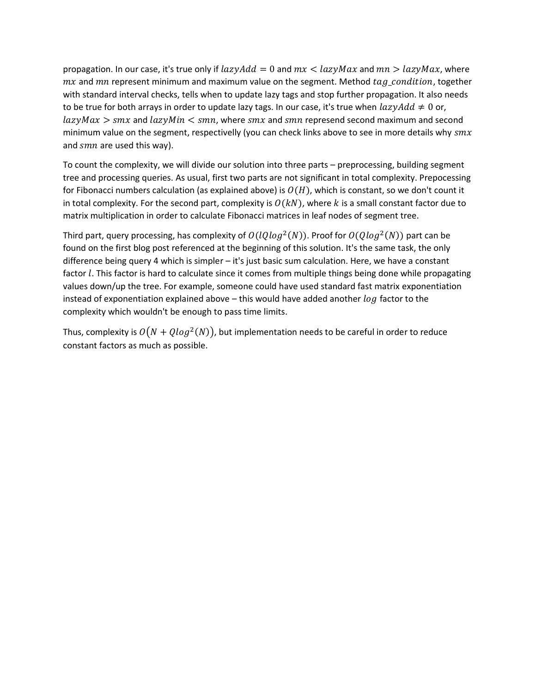propagation. In our case, it's true only if  $lazyAdd = 0$  and  $mx < lazyMax$  and  $mn > lazyMax$ , where  $mx$  and  $mn$  represent minimum and maximum value on the segment. Method  $tag\_condition$ , together with standard interval checks, tells when to update lazy tags and stop further propagation. It also needs to be true for both arrays in order to update lazy tags. In our case, it's true when  $lazyAdd \neq 0$  or,  $lazyMax > smx$  and  $lazyMin < smx$ , where  $smx$  and  $smx$  represend second maximum and second minimum value on the segment, respectivelly (you can check links above to see in more details why  $smx$ and  $smn$  are used this way).

To count the complexity, we will divide our solution into three parts – preprocessing, building segment tree and processing queries. As usual, first two parts are not significant in total complexity. Prepocessing for Fibonacci numbers calculation (as explained above) is  $O(H)$ , which is constant, so we don't count it in total complexity. For the second part, complexity is  $O(kN)$ , where k is a small constant factor due to matrix multiplication in order to calculate Fibonacci matrices in leaf nodes of segment tree.

Third part, query processing, has complexity of  $O(loglog^2(N))$ . Proof for  $O(Qlog^2(N))$  part can be found on the first blog post referenced at the beginning of this solution. It's the same task, the only difference being query 4 which is simpler – it's just basic sum calculation. Here, we have a constant factor *l*. This factor is hard to calculate since it comes from multiple things being done while propagating values down/up the tree. For example, someone could have used standard fast matrix exponentiation instead of exponentiation explained above  $-$  this would have added another  $log$  factor to the complexity which wouldn't be enough to pass time limits.

Thus, complexity is  $O(N + Qlog^2(N))$ , but implementation needs to be careful in order to reduce constant factors as much as possible.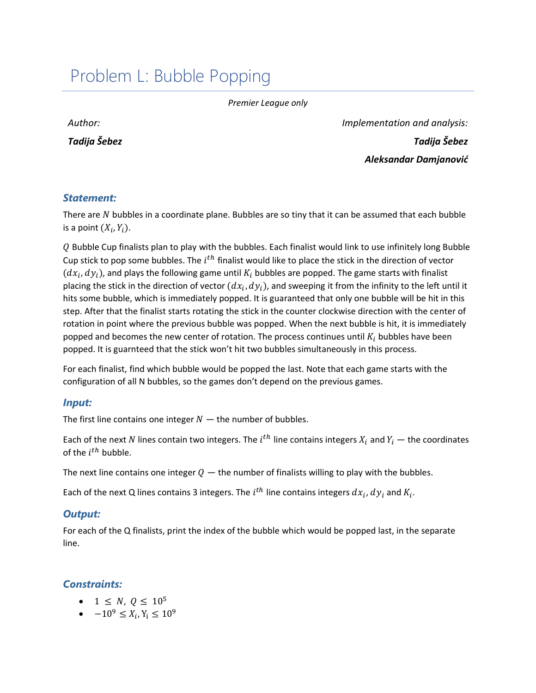## <span id="page-38-0"></span>Problem L: Bubble Popping

*Premier League only*

*Author:* 

*Tadija Šebez*

*Implementation and analysis: Tadija Šebez Aleksandar Damjanović*

#### *Statement:*

There are  $N$  bubbles in a coordinate plane. Bubbles are so tiny that it can be assumed that each bubble is a point  $(X_i, Y_i)$ .

Q Bubble Cup finalists plan to play with the bubbles. Each finalist would link to use infinitely long Bubble Cup stick to pop some bubbles. The  $i^{th}$  finalist would like to place the stick in the direction of vector  $(dx_i, dy_i)$ , and plays the following game until  $K_i$  bubbles are popped. The game starts with finalist placing the stick in the direction of vector  $(dx_i, dy_i)$ , and sweeping it from the infinity to the left until it hits some bubble, which is immediately popped. It is guaranteed that only one bubble will be hit in this step. After that the finalist starts rotating the stick in the counter clockwise direction with the center of rotation in point where the previous bubble was popped. When the next bubble is hit, it is immediately popped and becomes the new center of rotation. The process continues until  $K_i$  bubbles have been popped. It is guarnteed that the stick won't hit two bubbles simultaneously in this process.

For each finalist, find which bubble would be popped the last. Note that each game starts with the configuration of all N bubbles, so the games don't depend on the previous games.

#### *Input:*

The first line contains one integer  $N -$  the number of bubbles.

Each of the next  $N$  lines contain two integers. The  $i^{th}$  line contains integers  $X_i$  and  $Y_i$  — the coordinates of the  $i^{th}$  bubble.

The next line contains one integer  $Q$  — the number of finalists willing to play with the bubbles.

Each of the next Q lines contains 3 integers. The  $i^{th}$  line contains integers  $dx_i$ ,  $dy_i$  and  $K_i$ .

#### *Output:*

For each of the Q finalists, print the index of the bubble which would be popped last, in the separate line.

## *Constraints:*

- $1 \le N, Q \le 10^5$
- $-10^9 \le X_i, Y_i \le 10^9$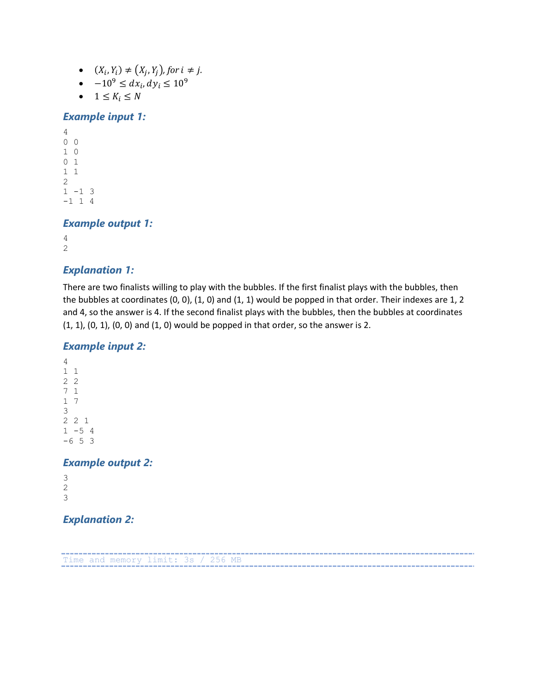- $(X_i, Y_i) \neq (X_j, Y_j)$ , for  $i \neq j$ .
- $-10^9 \leq dx_i, dy_i \leq 10^9$
- $1 \leq K_i \leq N$

#### *Example input 1:*

```
4
0 0
1 0
0 1
1 1
2
1 -1 3
-1 1 4
```
#### *Example output 1:*

4 2

#### *Explanation 1:*

There are two finalists willing to play with the bubbles. If the first finalist plays with the bubbles, then the bubbles at coordinates (0, 0), (1, 0) and (1, 1) would be popped in that order. Their indexes are 1, 2 and 4, so the answer is 4. If the second finalist plays with the bubbles, then the bubbles at coordinates (1, 1), (0, 1), (0, 0) and (1, 0) would be popped in that order, so the answer is 2.

#### *Example input 2:*

```
4
1 1
2 2
7 1
1 7
3
2 2 1
1 - 5 4-6 5 3
```
#### *Example output 2:*

3 2 3

## *Explanation 2:*

----------------------------Time and memory limit: 3s / 256 MB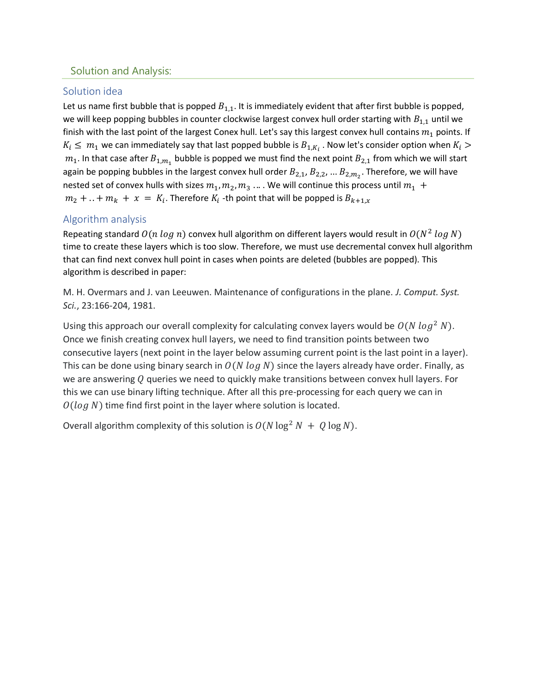### Solution and Analysis:

### Solution idea

Let us name first bubble that is popped  $B_{1,1}$ . It is immediately evident that after first bubble is popped, we will keep popping bubbles in counter clockwise largest convex hull order starting with  $B_{1,1}$  until we finish with the last point of the largest Conex hull. Let's say this largest convex hull contains  $m_1$  points. If  $K_i \leq m_1$  we can immediately say that last popped bubble is  $B_{1,K_i}$  . Now let's consider option when  $K_i >$  $m_1$ . In that case after  $B_{1,m_1}$  bubble is popped we must find the next point  $B_{2,1}$  from which we will start again be popping bubbles in the largest convex hull order  $B_{2,1}$ ,  $B_{2,2}$ , ...  $B_{2,m_2}$ . Therefore, we will have nested set of convex hulls with sizes  $m_1, m_2, m_3$  ... . We will continue this process until  $m_1 +$  $m_2 + ... + m_k + x = K_i$ . Therefore  $K_i$  -th point that will be popped is  $B_{k+1,x}$ 

## Algorithm analysis

Repeating standard  $O(n \log n)$  convex hull algorithm on different layers would result in  $O(N^2 \ log N)$ time to create these layers which is too slow. Therefore, we must use decremental convex hull algorithm that can find next convex hull point in cases when points are deleted (bubbles are popped). This algorithm is described in paper:

M. H. Overmars and J. van Leeuwen. Maintenance of configurations in the plane. *J. Comput. Syst. Sci.*, 23:166-204, 1981.

Using this approach our overall complexity for calculating convex layers would be  $O(N \log^2 N)$ . Once we finish creating convex hull layers, we need to find transition points between two consecutive layers (next point in the layer below assuming current point is the last point in a layer). This can be done using binary search in  $O(N \log N)$  since the layers already have order. Finally, as we are answering  $Q$  queries we need to quickly make transitions between convex hull layers. For this we can use binary lifting technique. After all this pre-processing for each query we can in  $O(log N)$  time find first point in the layer where solution is located.

Overall algorithm complexity of this solution is  $O(N \log^2 N + Q \log N)$ .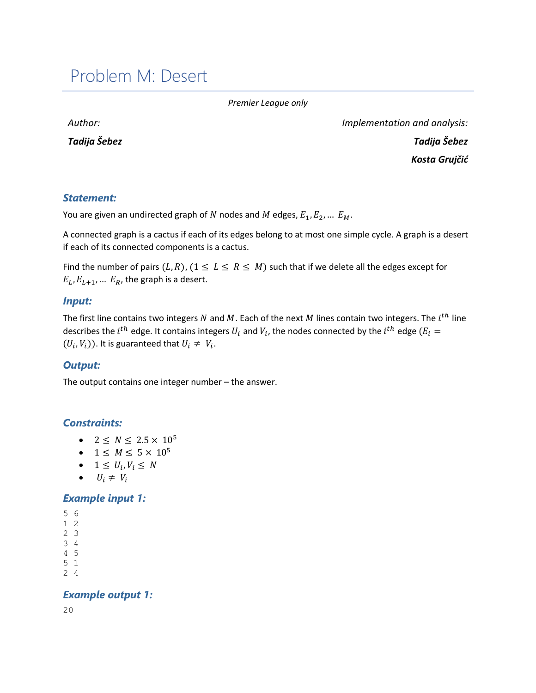## <span id="page-41-0"></span>Problem M: Desert

*Premier League only*

*Author:* 

*Tadija Šebez*

*Implementation and analysis: Tadija Šebez Kosta Grujčić*

### *Statement:*

You are given an undirected graph of N nodes and M edges,  $E_1, E_2, ... E_M$ .

A connected graph is a cactus if each of its edges belong to at most one simple cycle. A graph is a desert if each of its connected components is a cactus.

Find the number of pairs  $(L,R)$ ,  $(1 \leq L \leq R \leq M)$  such that if we delete all the edges except for  $E_L, E_{L+1}, ... E_R$ , the graph is a desert.

#### *Input:*

The first line contains two integers N and M. Each of the next M lines contain two integers. The  $i^{th}$  line describes the  $i^{th}$  edge. It contains integers  $U_i$  and  $V_i$ , the nodes connected by the  $i^{th}$  edge  $(E_i = \{$  $(U_i, V_i)$ ). It is guaranteed that  $U_i \neq V_i$ .

#### *Output:*

The output contains one integer number – the answer.

#### *Constraints:*

- $2 \le N \le 2.5 \times 10^5$
- $1 \le M \le 5 \times 10^5$
- $1 \leq U_i, V_i \leq N$
- $U_i \neq V_i$

#### *Example input 1:*

5 6

- 1 2
- 2 3 3 4
- 4 5
- 5 1
- 2 4

#### *Example output 1:*

20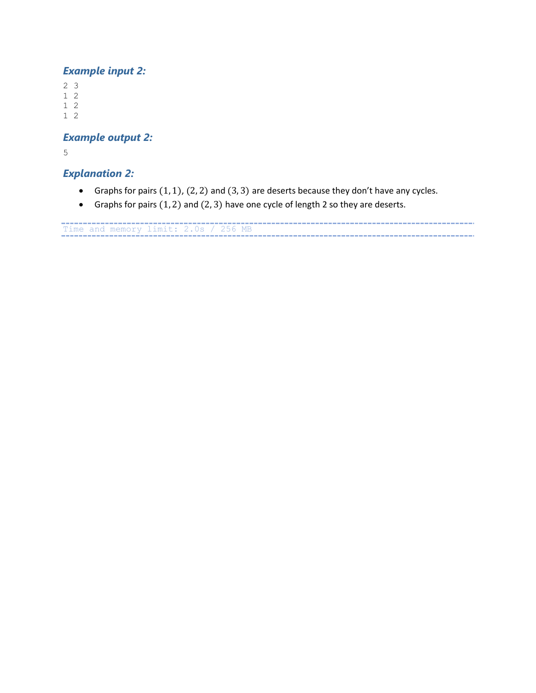## *Example input 2:*

2 3

- 1 2
- 1 2 1 2

*Example output 2:*

5

## *Explanation 2:*

- Graphs for pairs  $(1, 1)$ ,  $(2, 2)$  and  $(3, 3)$  are deserts because they don't have any cycles.
- Graphs for pairs  $(1, 2)$  and  $(2, 3)$  have one cycle of length 2 so they are deserts.

Time and memory limit: 2.0s / 256 MB ---------------------------------